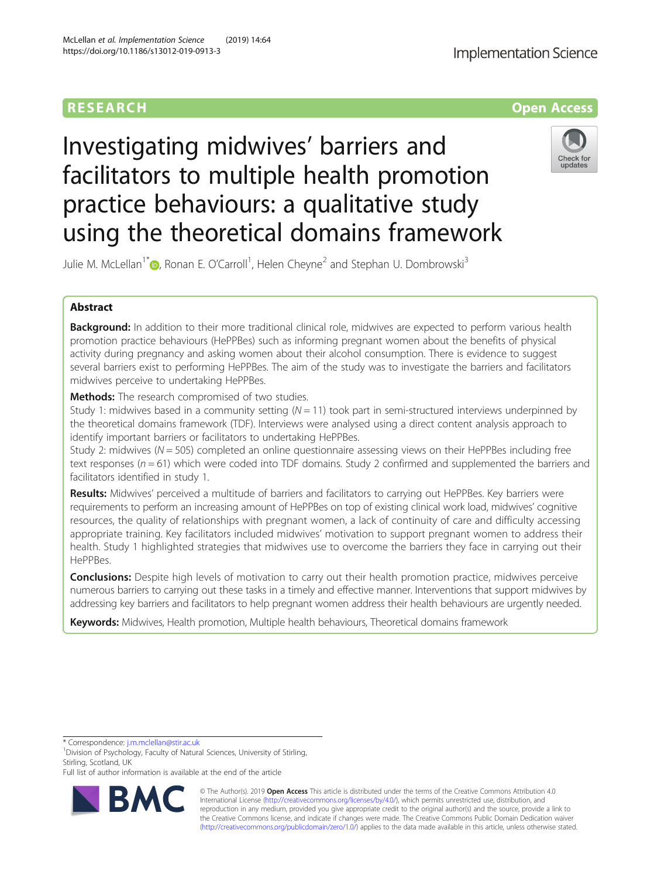

# Investigating midwives' barriers and facilitators to multiple health promotion practice behaviours: a qualitative study using the theoretical domains framework



Julie M. McLellan<sup>1\*</sup>®[,](http://orcid.org/0000-0003-4902-2254) Ronan E. O'Carroll<sup>1</sup>, Helen Cheyne<sup>2</sup> and Stephan U. Dombrowski<sup>3</sup>

# Abstract

Background: In addition to their more traditional clinical role, midwives are expected to perform various health promotion practice behaviours (HePPBes) such as informing pregnant women about the benefits of physical activity during pregnancy and asking women about their alcohol consumption. There is evidence to suggest several barriers exist to performing HePPBes. The aim of the study was to investigate the barriers and facilitators midwives perceive to undertaking HePPBes.

**Methods:** The research compromised of two studies.

Study 1: midwives based in a community setting  $(N = 11)$  took part in semi-structured interviews underpinned by the theoretical domains framework (TDF). Interviews were analysed using a direct content analysis approach to identify important barriers or facilitators to undertaking HePPBes.

Study 2: midwives ( $N = 505$ ) completed an online questionnaire assessing views on their HePPBes including free text responses ( $n = 61$ ) which were coded into TDF domains. Study 2 confirmed and supplemented the barriers and facilitators identified in study 1.

Results: Midwives' perceived a multitude of barriers and facilitators to carrying out HePPBes. Key barriers were requirements to perform an increasing amount of HePPBes on top of existing clinical work load, midwives' cognitive resources, the quality of relationships with pregnant women, a lack of continuity of care and difficulty accessing appropriate training. Key facilitators included midwives' motivation to support pregnant women to address their health. Study 1 highlighted strategies that midwives use to overcome the barriers they face in carrying out their HePPBes.

**Conclusions:** Despite high levels of motivation to carry out their health promotion practice, midwives perceive numerous barriers to carrying out these tasks in a timely and effective manner. Interventions that support midwives by addressing key barriers and facilitators to help pregnant women address their health behaviours are urgently needed.

Keywords: Midwives, Health promotion, Multiple health behaviours, Theoretical domains framework

\* Correspondence: [j.m.mclellan@stir.ac.uk](mailto:j.m.mclellan@stir.ac.uk) <sup>1</sup>

<sup>1</sup> Division of Psychology, Faculty of Natural Sciences, University of Stirling, Stirling, Scotland, UK

Full list of author information is available at the end of the article



© The Author(s). 2019 Open Access This article is distributed under the terms of the Creative Commons Attribution 4.0 International License [\(http://creativecommons.org/licenses/by/4.0/](http://creativecommons.org/licenses/by/4.0/)), which permits unrestricted use, distribution, and reproduction in any medium, provided you give appropriate credit to the original author(s) and the source, provide a link to the Creative Commons license, and indicate if changes were made. The Creative Commons Public Domain Dedication waiver [\(http://creativecommons.org/publicdomain/zero/1.0/](http://creativecommons.org/publicdomain/zero/1.0/)) applies to the data made available in this article, unless otherwise stated.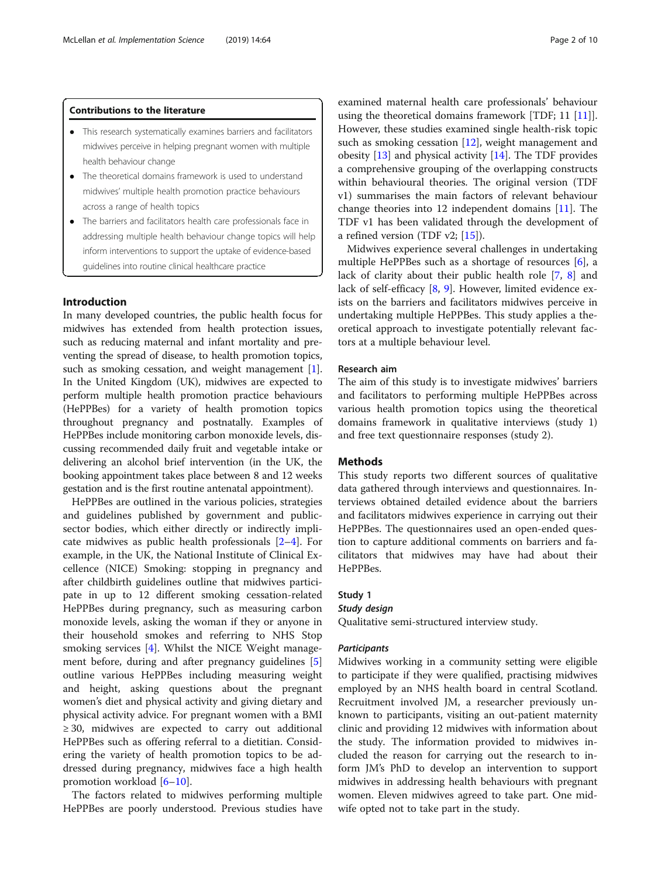# Contributions to the literature

- This research systematically examines barriers and facilitators midwives perceive in helping pregnant women with multiple health behaviour change
- The theoretical domains framework is used to understand midwives' multiple health promotion practice behaviours across a range of health topics
- The barriers and facilitators health care professionals face in addressing multiple health behaviour change topics will help inform interventions to support the uptake of evidence-based guidelines into routine clinical healthcare practice

# Introduction

In many developed countries, the public health focus for midwives has extended from health protection issues, such as reducing maternal and infant mortality and preventing the spread of disease, to health promotion topics, such as smoking cessation, and weight management [[1](#page-9-0)]. In the United Kingdom (UK), midwives are expected to perform multiple health promotion practice behaviours (HePPBes) for a variety of health promotion topics throughout pregnancy and postnatally. Examples of HePPBes include monitoring carbon monoxide levels, discussing recommended daily fruit and vegetable intake or delivering an alcohol brief intervention (in the UK, the booking appointment takes place between 8 and 12 weeks gestation and is the first routine antenatal appointment).

HePPBes are outlined in the various policies, strategies and guidelines published by government and publicsector bodies, which either directly or indirectly implicate midwives as public health professionals [\[2](#page-9-0)–[4](#page-9-0)]. For example, in the UK, the National Institute of Clinical Excellence (NICE) Smoking: stopping in pregnancy and after childbirth guidelines outline that midwives participate in up to 12 different smoking cessation-related HePPBes during pregnancy, such as measuring carbon monoxide levels, asking the woman if they or anyone in their household smokes and referring to NHS Stop smoking services [[4\]](#page-9-0). Whilst the NICE Weight management before, during and after pregnancy guidelines [\[5](#page-9-0)] outline various HePPBes including measuring weight and height, asking questions about the pregnant women's diet and physical activity and giving dietary and physical activity advice. For pregnant women with a BMI  $\geq$  30, midwives are expected to carry out additional HePPBes such as offering referral to a dietitian. Considering the variety of health promotion topics to be addressed during pregnancy, midwives face a high health promotion workload [\[6](#page-9-0)–[10\]](#page-9-0).

The factors related to midwives performing multiple HePPBes are poorly understood. Previous studies have examined maternal health care professionals' behaviour using the theoretical domains framework [TDF; 11 [\[11](#page-9-0)]]. However, these studies examined single health-risk topic such as smoking cessation  $[12]$  $[12]$ , weight management and obesity [[13](#page-9-0)] and physical activity [\[14\]](#page-9-0). The TDF provides a comprehensive grouping of the overlapping constructs within behavioural theories. The original version (TDF v1) summarises the main factors of relevant behaviour change theories into 12 independent domains [\[11](#page-9-0)]. The TDF v1 has been validated through the development of a refined version (TDF v2; [[15](#page-9-0)]).

Midwives experience several challenges in undertaking multiple HePPBes such as a shortage of resources [\[6](#page-9-0)], a lack of clarity about their public health role [[7,](#page-9-0) [8](#page-9-0)] and lack of self-efficacy [[8,](#page-9-0) [9\]](#page-9-0). However, limited evidence exists on the barriers and facilitators midwives perceive in undertaking multiple HePPBes. This study applies a theoretical approach to investigate potentially relevant factors at a multiple behaviour level.

# Research aim

The aim of this study is to investigate midwives' barriers and facilitators to performing multiple HePPBes across various health promotion topics using the theoretical domains framework in qualitative interviews (study 1) and free text questionnaire responses (study 2).

# Methods

This study reports two different sources of qualitative data gathered through interviews and questionnaires. Interviews obtained detailed evidence about the barriers and facilitators midwives experience in carrying out their HePPBes. The questionnaires used an open-ended question to capture additional comments on barriers and facilitators that midwives may have had about their HePPBes.

# Study 1

# Study design

Qualitative semi-structured interview study.

#### **Participants**

Midwives working in a community setting were eligible to participate if they were qualified, practising midwives employed by an NHS health board in central Scotland. Recruitment involved JM, a researcher previously unknown to participants, visiting an out-patient maternity clinic and providing 12 midwives with information about the study. The information provided to midwives included the reason for carrying out the research to inform JM's PhD to develop an intervention to support midwives in addressing health behaviours with pregnant women. Eleven midwives agreed to take part. One midwife opted not to take part in the study.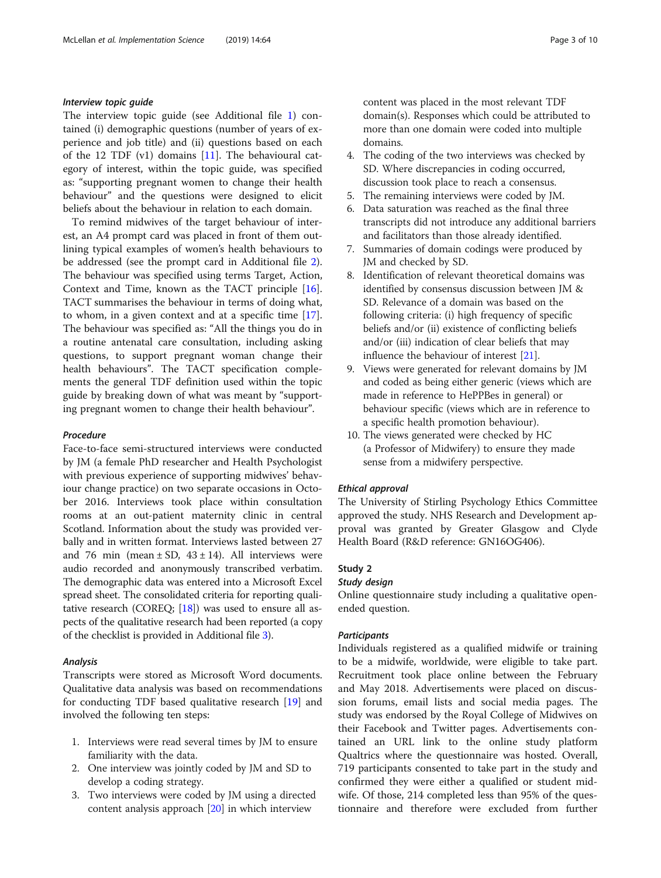#### Interview topic guide

The interview topic guide (see Additional file [1\)](#page-8-0) contained (i) demographic questions (number of years of experience and job title) and (ii) questions based on each of the 12 TDF (v1) domains [\[11](#page-9-0)]. The behavioural category of interest, within the topic guide, was specified as: "supporting pregnant women to change their health behaviour" and the questions were designed to elicit beliefs about the behaviour in relation to each domain.

To remind midwives of the target behaviour of interest, an A4 prompt card was placed in front of them outlining typical examples of women's health behaviours to be addressed (see the prompt card in Additional file [2](#page-8-0)). The behaviour was specified using terms Target, Action, Context and Time, known as the TACT principle [\[16](#page-9-0)]. TACT summarises the behaviour in terms of doing what, to whom, in a given context and at a specific time [\[17](#page-9-0)]. The behaviour was specified as: "All the things you do in a routine antenatal care consultation, including asking questions, to support pregnant woman change their health behaviours". The TACT specification complements the general TDF definition used within the topic guide by breaking down of what was meant by "supporting pregnant women to change their health behaviour".

# Procedure

Face-to-face semi-structured interviews were conducted by JM (a female PhD researcher and Health Psychologist with previous experience of supporting midwives' behaviour change practice) on two separate occasions in October 2016. Interviews took place within consultation rooms at an out-patient maternity clinic in central Scotland. Information about the study was provided verbally and in written format. Interviews lasted between 27 and 76 min (mean  $\pm$  SD, 43  $\pm$  14). All interviews were audio recorded and anonymously transcribed verbatim. The demographic data was entered into a Microsoft Excel spread sheet. The consolidated criteria for reporting qualitative research (COREO;  $[18]$ ) was used to ensure all aspects of the qualitative research had been reported (a copy of the checklist is provided in Additional file [3](#page-8-0)).

#### Analysis

Transcripts were stored as Microsoft Word documents. Qualitative data analysis was based on recommendations for conducting TDF based qualitative research [[19](#page-9-0)] and involved the following ten steps:

- 1. Interviews were read several times by JM to ensure familiarity with the data.
- 2. One interview was jointly coded by JM and SD to develop a coding strategy.
- 3. Two interviews were coded by JM using a directed content analysis approach [[20](#page-9-0)] in which interview

content was placed in the most relevant TDF domain(s). Responses which could be attributed to more than one domain were coded into multiple domains.

- 4. The coding of the two interviews was checked by SD. Where discrepancies in coding occurred, discussion took place to reach a consensus.
- 5. The remaining interviews were coded by JM.
- 6. Data saturation was reached as the final three transcripts did not introduce any additional barriers and facilitators than those already identified.
- 7. Summaries of domain codings were produced by JM and checked by SD.
- 8. Identification of relevant theoretical domains was identified by consensus discussion between JM & SD. Relevance of a domain was based on the following criteria: (i) high frequency of specific beliefs and/or (ii) existence of conflicting beliefs and/or (iii) indication of clear beliefs that may influence the behaviour of interest [[21](#page-9-0)].
- 9. Views were generated for relevant domains by JM and coded as being either generic (views which are made in reference to HePPBes in general) or behaviour specific (views which are in reference to a specific health promotion behaviour).
- 10. The views generated were checked by HC (a Professor of Midwifery) to ensure they made sense from a midwifery perspective.

#### Ethical approval

The University of Stirling Psychology Ethics Committee approved the study. NHS Research and Development approval was granted by Greater Glasgow and Clyde Health Board (R&D reference: GN16OG406).

# Study 2

#### Study design

Online questionnaire study including a qualitative openended question.

# **Participants**

Individuals registered as a qualified midwife or training to be a midwife, worldwide, were eligible to take part. Recruitment took place online between the February and May 2018. Advertisements were placed on discussion forums, email lists and social media pages. The study was endorsed by the Royal College of Midwives on their Facebook and Twitter pages. Advertisements contained an URL link to the online study platform Qualtrics where the questionnaire was hosted. Overall, 719 participants consented to take part in the study and confirmed they were either a qualified or student midwife. Of those, 214 completed less than 95% of the questionnaire and therefore were excluded from further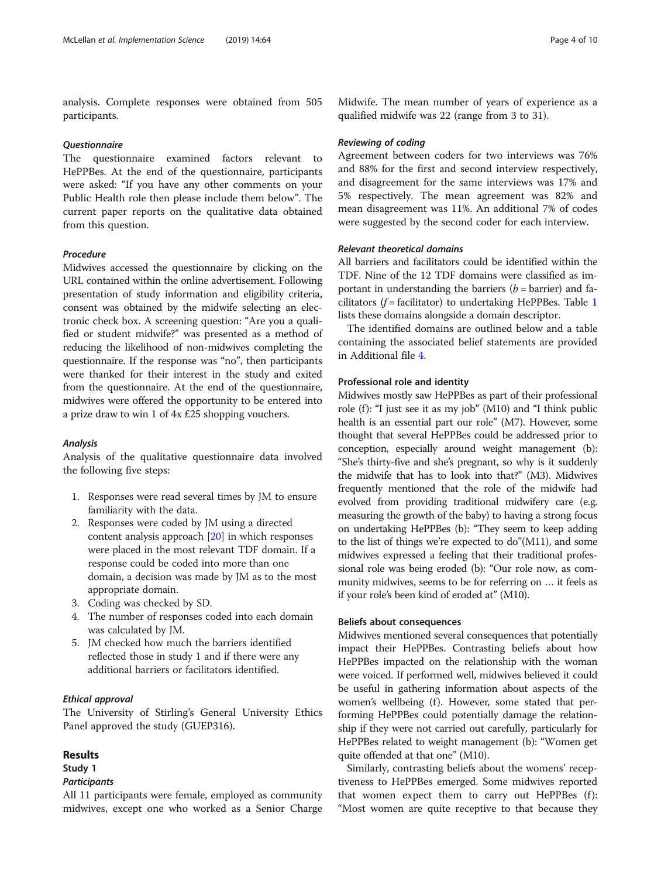analysis. Complete responses were obtained from 505 participants.

# **Ouestionnaire**

The questionnaire examined factors relevant to HePPBes. At the end of the questionnaire, participants were asked: "If you have any other comments on your Public Health role then please include them below". The current paper reports on the qualitative data obtained from this question.

# Procedure

Midwives accessed the questionnaire by clicking on the URL contained within the online advertisement. Following presentation of study information and eligibility criteria, consent was obtained by the midwife selecting an electronic check box. A screening question: "Are you a qualified or student midwife?" was presented as a method of reducing the likelihood of non-midwives completing the questionnaire. If the response was "no", then participants were thanked for their interest in the study and exited from the questionnaire. At the end of the questionnaire, midwives were offered the opportunity to be entered into a prize draw to win 1 of 4x £25 shopping vouchers.

#### Analysis

Analysis of the qualitative questionnaire data involved the following five steps:

- 1. Responses were read several times by JM to ensure familiarity with the data.
- 2. Responses were coded by JM using a directed content analysis approach [[20](#page-9-0)] in which responses were placed in the most relevant TDF domain. If a response could be coded into more than one domain, a decision was made by JM as to the most appropriate domain.
- 3. Coding was checked by SD.
- 4. The number of responses coded into each domain was calculated by JM.
- 5. JM checked how much the barriers identified reflected those in study 1 and if there were any additional barriers or facilitators identified.

# Ethical approval

The University of Stirling's General University Ethics Panel approved the study (GUEP316).

# Results

# Study 1

# **Participants**

All 11 participants were female, employed as community midwives, except one who worked as a Senior Charge Midwife. The mean number of years of experience as a qualified midwife was 22 (range from 3 to 31).

#### Reviewing of coding

Agreement between coders for two interviews was 76% and 88% for the first and second interview respectively, and disagreement for the same interviews was 17% and 5% respectively. The mean agreement was 82% and mean disagreement was 11%. An additional 7% of codes were suggested by the second coder for each interview.

# Relevant theoretical domains

All barriers and facilitators could be identified within the TDF. Nine of the 12 TDF domains were classified as important in understanding the barriers  $(b = barrier)$  and facilitators ( $f =$  facilitator) to undertaking HePPBes. Table [1](#page-4-0) lists these domains alongside a domain descriptor.

The identified domains are outlined below and a table containing the associated belief statements are provided in Additional file [4.](#page-8-0)

# Professional role and identity

Midwives mostly saw HePPBes as part of their professional role (f): "I just see it as my job" (M10) and "I think public health is an essential part our role" (M7). However, some thought that several HePPBes could be addressed prior to conception, especially around weight management (b): "She's thirty-five and she's pregnant, so why is it suddenly the midwife that has to look into that?" (M3). Midwives frequently mentioned that the role of the midwife had evolved from providing traditional midwifery care (e.g. measuring the growth of the baby) to having a strong focus on undertaking HePPBes (b): "They seem to keep adding to the list of things we're expected to do"(M11), and some midwives expressed a feeling that their traditional professional role was being eroded (b): "Our role now, as community midwives, seems to be for referring on … it feels as if your role's been kind of eroded at" (M10).

#### Beliefs about consequences

Midwives mentioned several consequences that potentially impact their HePPBes. Contrasting beliefs about how HePPBes impacted on the relationship with the woman were voiced. If performed well, midwives believed it could be useful in gathering information about aspects of the women's wellbeing (f). However, some stated that performing HePPBes could potentially damage the relationship if they were not carried out carefully, particularly for HePPBes related to weight management (b): "Women get quite offended at that one" (M10).

Similarly, contrasting beliefs about the womens' receptiveness to HePPBes emerged. Some midwives reported that women expect them to carry out  $HePPBes (f)$ : "Most women are quite receptive to that because they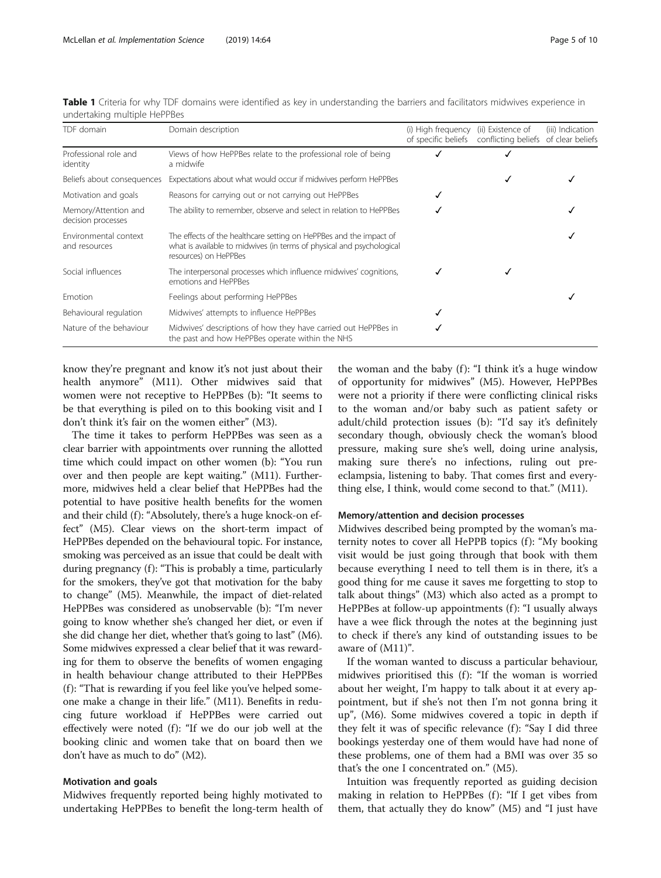| TDF domain                                 | Domain description                                                                                                                                                   | (i) High frequency<br>of specific beliefs | (ii) Existence of<br>conflicting beliefs of clear beliefs | (iii) Indication |
|--------------------------------------------|----------------------------------------------------------------------------------------------------------------------------------------------------------------------|-------------------------------------------|-----------------------------------------------------------|------------------|
| Professional role and<br>identity          | Views of how HePPBes relate to the professional role of being<br>a midwife                                                                                           |                                           |                                                           |                  |
| Beliefs about consequences                 | Expectations about what would occur if midwives perform HePPBes                                                                                                      |                                           | ✓                                                         |                  |
| Motivation and goals                       | Reasons for carrying out or not carrying out HePPBes                                                                                                                 |                                           |                                                           |                  |
| Memory/Attention and<br>decision processes | The ability to remember, observe and select in relation to HePPBes                                                                                                   |                                           |                                                           |                  |
| Environmental context<br>and resources     | The effects of the healthcare setting on HePPBes and the impact of<br>what is available to midwives (in terms of physical and psychological<br>resources) on HePPBes |                                           |                                                           |                  |
| Social influences                          | The interpersonal processes which influence midwives' cognitions,<br>emotions and HePPBes                                                                            |                                           |                                                           |                  |
| Emotion                                    | Feelings about performing HePPBes                                                                                                                                    |                                           |                                                           |                  |
| Behavioural regulation                     | Midwives' attempts to influence HePPBes                                                                                                                              | √                                         |                                                           |                  |
| Nature of the behaviour                    | Midwives' descriptions of how they have carried out HePPBes in<br>the past and how HePPBes operate within the NHS                                                    |                                           |                                                           |                  |

<span id="page-4-0"></span>Table 1 Criteria for why TDF domains were identified as key in understanding the barriers and facilitators midwives experience in undertaking multiple HePPBes

know they're pregnant and know it's not just about their health anymore" (M11). Other midwives said that women were not receptive to HePPBes (b): "It seems to be that everything is piled on to this booking visit and I don't think it's fair on the women either" (M3).

The time it takes to perform HePPBes was seen as a clear barrier with appointments over running the allotted time which could impact on other women (b): "You run over and then people are kept waiting." (M11). Furthermore, midwives held a clear belief that HePPBes had the potential to have positive health benefits for the women and their child (f): "Absolutely, there's a huge knock-on effect" (M5). Clear views on the short-term impact of HePPBes depended on the behavioural topic. For instance, smoking was perceived as an issue that could be dealt with during pregnancy (f): "This is probably a time, particularly for the smokers, they've got that motivation for the baby to change" (M5). Meanwhile, the impact of diet-related HePPBes was considered as unobservable (b): "I'm never going to know whether she's changed her diet, or even if she did change her diet, whether that's going to last" (M6). Some midwives expressed a clear belief that it was rewarding for them to observe the benefits of women engaging in health behaviour change attributed to their HePPBes (f): "That is rewarding if you feel like you've helped someone make a change in their life." (M11). Benefits in reducing future workload if HePPBes were carried out effectively were noted  $(f)$ : "If we do our job well at the booking clinic and women take that on board then we don't have as much to do" (M2).

#### Motivation and goals

Midwives frequently reported being highly motivated to undertaking HePPBes to benefit the long-term health of

the woman and the baby (f): "I think it's a huge window of opportunity for midwives" (M5). However, HePPBes were not a priority if there were conflicting clinical risks to the woman and/or baby such as patient safety or adult/child protection issues (b): "I'd say it's definitely secondary though, obviously check the woman's blood pressure, making sure she's well, doing urine analysis, making sure there's no infections, ruling out preeclampsia, listening to baby. That comes first and everything else, I think, would come second to that." (M11).

# Memory/attention and decision processes

Midwives described being prompted by the woman's maternity notes to cover all HePPB topics (f): "My booking visit would be just going through that book with them because everything I need to tell them is in there, it's a good thing for me cause it saves me forgetting to stop to talk about things" (M3) which also acted as a prompt to HePPBes at follow-up appointments (f): "I usually always have a wee flick through the notes at the beginning just to check if there's any kind of outstanding issues to be aware of (M11)".

If the woman wanted to discuss a particular behaviour, midwives prioritised this  $(f)$ : "If the woman is worried about her weight, I'm happy to talk about it at every appointment, but if she's not then I'm not gonna bring it up", (M6). Some midwives covered a topic in depth if they felt it was of specific relevance  $(f)$ : "Say I did three bookings yesterday one of them would have had none of these problems, one of them had a BMI was over 35 so that's the one I concentrated on." (M5).

Intuition was frequently reported as guiding decision making in relation to HePPBes  $(f)$ : "If I get vibes from them, that actually they do know" (M5) and "I just have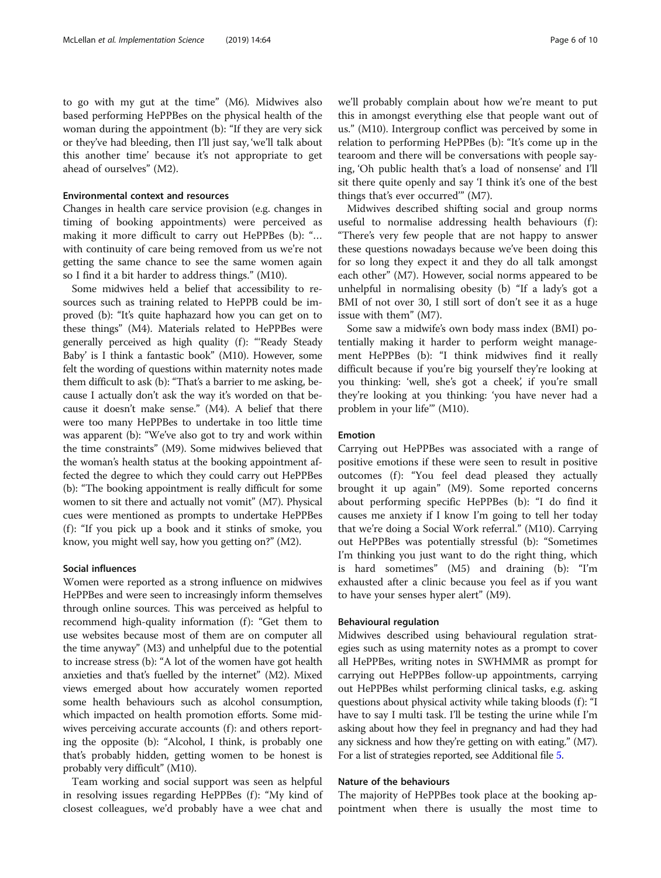to go with my gut at the time" (M6). Midwives also based performing HePPBes on the physical health of the woman during the appointment (b): "If they are very sick or they've had bleeding, then I'll just say, 'we'll talk about this another time' because it's not appropriate to get ahead of ourselves" (M2).

# Environmental context and resources

Changes in health care service provision (e.g. changes in timing of booking appointments) were perceived as making it more difficult to carry out HePPBes (b): "… with continuity of care being removed from us we're not getting the same chance to see the same women again so I find it a bit harder to address things." (M10).

Some midwives held a belief that accessibility to resources such as training related to HePPB could be improved (b): "It's quite haphazard how you can get on to these things" (M4). Materials related to HePPBes were generally perceived as high quality (f): "Ready Steady Baby' is I think a fantastic book" (M10). However, some felt the wording of questions within maternity notes made them difficult to ask (b): "That's a barrier to me asking, because I actually don't ask the way it's worded on that because it doesn't make sense." (M4). A belief that there were too many HePPBes to undertake in too little time was apparent (b): "We've also got to try and work within the time constraints" (M9). Some midwives believed that the woman's health status at the booking appointment affected the degree to which they could carry out HePPBes (b): "The booking appointment is really difficult for some women to sit there and actually not vomit" (M7). Physical cues were mentioned as prompts to undertake HePPBes (f): "If you pick up a book and it stinks of smoke, you know, you might well say, how you getting on?" (M2).

# Social influences

Women were reported as a strong influence on midwives HePPBes and were seen to increasingly inform themselves through online sources. This was perceived as helpful to recommend high-quality information (f): "Get them to use websites because most of them are on computer all the time anyway" (M3) and unhelpful due to the potential to increase stress (b): "A lot of the women have got health anxieties and that's fuelled by the internet" (M2). Mixed views emerged about how accurately women reported some health behaviours such as alcohol consumption, which impacted on health promotion efforts. Some midwives perceiving accurate accounts  $(f)$ : and others reporting the opposite (b): "Alcohol, I think, is probably one that's probably hidden, getting women to be honest is probably very difficult" (M10).

Team working and social support was seen as helpful in resolving issues regarding HePPBes (f): "My kind of closest colleagues, we'd probably have a wee chat and we'll probably complain about how we're meant to put this in amongst everything else that people want out of us." (M10). Intergroup conflict was perceived by some in relation to performing HePPBes (b): "It's come up in the tearoom and there will be conversations with people saying, 'Oh public health that's a load of nonsense' and I'll sit there quite openly and say 'I think it's one of the best things that's ever occurred'" (M7).

Midwives described shifting social and group norms useful to normalise addressing health behaviours (f): "There's very few people that are not happy to answer these questions nowadays because we've been doing this for so long they expect it and they do all talk amongst each other" (M7). However, social norms appeared to be unhelpful in normalising obesity (b) "If a lady's got a BMI of not over 30, I still sort of don't see it as a huge issue with them" (M7).

Some saw a midwife's own body mass index (BMI) potentially making it harder to perform weight management HePPBes (b): "I think midwives find it really difficult because if you're big yourself they're looking at you thinking: 'well, she's got a cheek', if you're small they're looking at you thinking: 'you have never had a problem in your life'" (M10).

# Emotion

Carrying out HePPBes was associated with a range of positive emotions if these were seen to result in positive outcomes (f): "You feel dead pleased they actually brought it up again" (M9). Some reported concerns about performing specific HePPBes (b): "I do find it causes me anxiety if I know I'm going to tell her today that we're doing a Social Work referral." (M10). Carrying out HePPBes was potentially stressful (b): "Sometimes I'm thinking you just want to do the right thing, which is hard sometimes" (M5) and draining (b): "I'm exhausted after a clinic because you feel as if you want to have your senses hyper alert" (M9).

#### Behavioural regulation

Midwives described using behavioural regulation strategies such as using maternity notes as a prompt to cover all HePPBes, writing notes in SWHMMR as prompt for carrying out HePPBes follow-up appointments, carrying out HePPBes whilst performing clinical tasks, e.g. asking questions about physical activity while taking bloods (f): "I have to say I multi task. I'll be testing the urine while I'm asking about how they feel in pregnancy and had they had any sickness and how they're getting on with eating." (M7). For a list of strategies reported, see Additional file [5](#page-8-0).

# Nature of the behaviours

The majority of HePPBes took place at the booking appointment when there is usually the most time to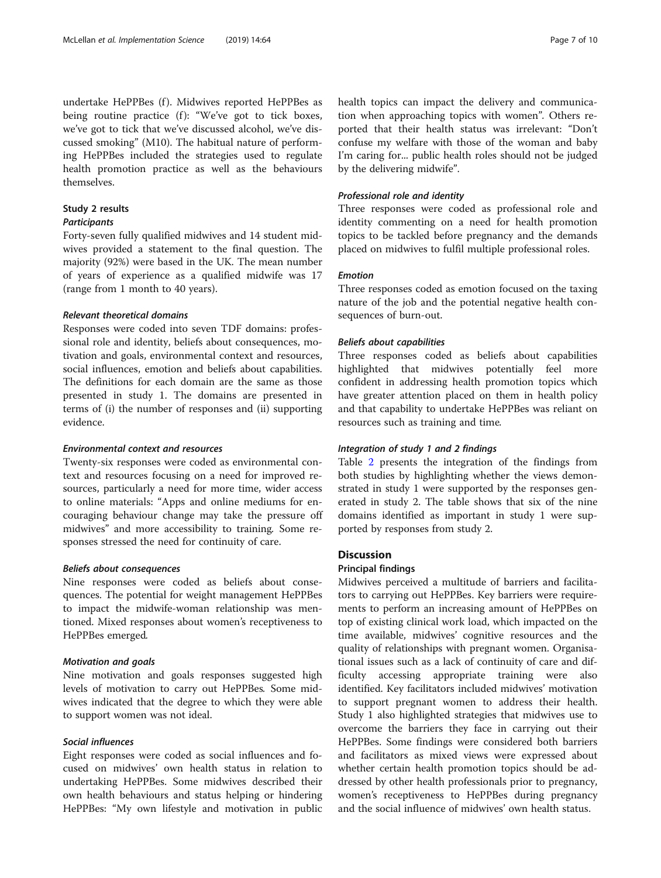undertake HePPBes (f). Midwives reported HePPBes as being routine practice (f): "We've got to tick boxes, we've got to tick that we've discussed alcohol, we've discussed smoking" (M10). The habitual nature of performing HePPBes included the strategies used to regulate health promotion practice as well as the behaviours themselves.

# Study 2 results

# **Participants**

Forty-seven fully qualified midwives and 14 student midwives provided a statement to the final question. The majority (92%) were based in the UK. The mean number of years of experience as a qualified midwife was 17 (range from 1 month to 40 years).

# Relevant theoretical domains

Responses were coded into seven TDF domains: professional role and identity, beliefs about consequences, motivation and goals, environmental context and resources, social influences, emotion and beliefs about capabilities. The definitions for each domain are the same as those presented in study 1. The domains are presented in terms of (i) the number of responses and (ii) supporting evidence.

# Environmental context and resources

Twenty-six responses were coded as environmental context and resources focusing on a need for improved resources, particularly a need for more time, wider access to online materials: "Apps and online mediums for encouraging behaviour change may take the pressure off midwives" and more accessibility to training. Some responses stressed the need for continuity of care.

# Beliefs about consequences

Nine responses were coded as beliefs about consequences. The potential for weight management HePPBes to impact the midwife-woman relationship was mentioned. Mixed responses about women's receptiveness to HePPBes emerged.

# Motivation and goals

Nine motivation and goals responses suggested high levels of motivation to carry out HePPBes. Some midwives indicated that the degree to which they were able to support women was not ideal.

#### Social influences

Eight responses were coded as social influences and focused on midwives' own health status in relation to undertaking HePPBes. Some midwives described their own health behaviours and status helping or hindering HePPBes: "My own lifestyle and motivation in public health topics can impact the delivery and communication when approaching topics with women". Others reported that their health status was irrelevant: "Don't confuse my welfare with those of the woman and baby I'm caring for... public health roles should not be judged by the delivering midwife".

# Professional role and identity

Three responses were coded as professional role and identity commenting on a need for health promotion topics to be tackled before pregnancy and the demands placed on midwives to fulfil multiple professional roles.

# Emotion

Three responses coded as emotion focused on the taxing nature of the job and the potential negative health consequences of burn-out.

# Beliefs about capabilities

Three responses coded as beliefs about capabilities highlighted that midwives potentially feel more confident in addressing health promotion topics which have greater attention placed on them in health policy and that capability to undertake HePPBes was reliant on resources such as training and time.

# Integration of study 1 and 2 findings

Table [2](#page-7-0) presents the integration of the findings from both studies by highlighting whether the views demonstrated in study 1 were supported by the responses generated in study 2. The table shows that six of the nine domains identified as important in study 1 were supported by responses from study 2.

#### **Discussion**

# Principal findings

Midwives perceived a multitude of barriers and facilitators to carrying out HePPBes. Key barriers were requirements to perform an increasing amount of HePPBes on top of existing clinical work load, which impacted on the time available, midwives' cognitive resources and the quality of relationships with pregnant women. Organisational issues such as a lack of continuity of care and difficulty accessing appropriate training were also identified. Key facilitators included midwives' motivation to support pregnant women to address their health. Study 1 also highlighted strategies that midwives use to overcome the barriers they face in carrying out their HePPBes. Some findings were considered both barriers and facilitators as mixed views were expressed about whether certain health promotion topics should be addressed by other health professionals prior to pregnancy, women's receptiveness to HePPBes during pregnancy and the social influence of midwives' own health status.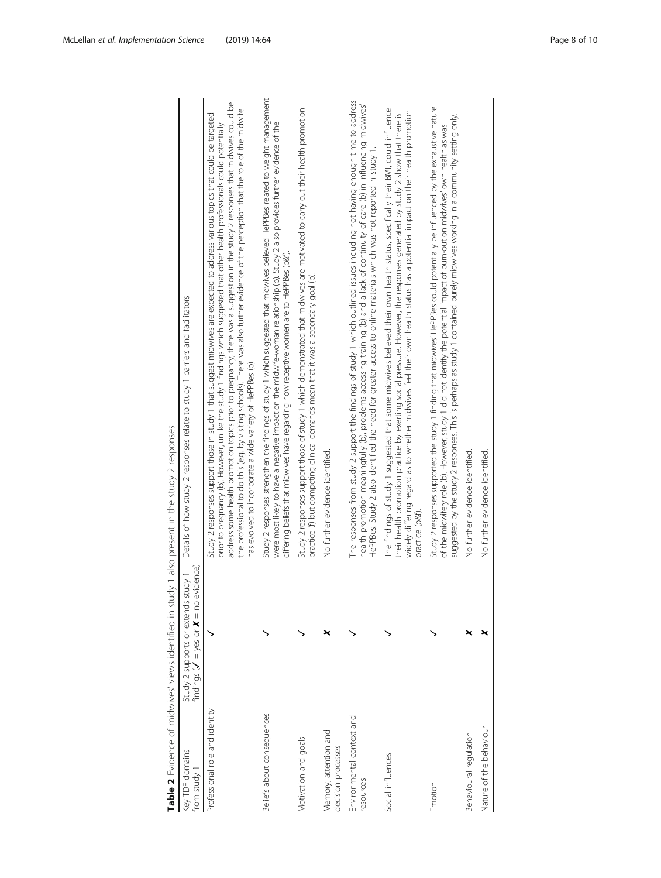<span id="page-7-0"></span>

| Key TDF domains<br>from study 1             | findings ( $V = yes$ or $X = no$ evidence)<br>Study 2 supports or extends study 1 | Details of how study 2 responses relate to study 1 barriers and facilitators                                                                                                                                                                                                                                                                                                                                                                                                                                                                                                                               |
|---------------------------------------------|-----------------------------------------------------------------------------------|------------------------------------------------------------------------------------------------------------------------------------------------------------------------------------------------------------------------------------------------------------------------------------------------------------------------------------------------------------------------------------------------------------------------------------------------------------------------------------------------------------------------------------------------------------------------------------------------------------|
| Professional role and identity              |                                                                                   | address some health promotion topics prior to pregnancy, there was a suggestion in the study 2 responses that midwives could be<br>the professional to do this (e.g. by visiting schools). There was also further evidence of the perception that the role of the midwife<br>Study 2 responses support those in study 1 that suggest midwives are expected to address various topics that could be targeted<br>prior to pregnancy (b). However, unlike the study 1 findings which suggested that other health professionals could potentially<br>has evolved to incorporate a wide variety of HePPBes (b). |
| Beliefs about consequences                  |                                                                                   | Study 2 responses strengthen the findings of study 1 which suggested that midwives believed HePPBes related to weight management<br>were most likely to have a negative impact on the midwife-woman relationship (b). Study 2 also provides further evidence of the<br>differing beliefs that midwives have regarding how receptive women are to HePPBes (b&f).                                                                                                                                                                                                                                            |
| Motivation and goals                        |                                                                                   | Study 2 responses support those of study 1 which demonstrated that midwives are motivated to carry out their health promotion<br>practice (f) but competing clinical demands mean that it was a secondary goal (b).                                                                                                                                                                                                                                                                                                                                                                                        |
| Memory, attention and<br>decision processes |                                                                                   | No further evidence identified.                                                                                                                                                                                                                                                                                                                                                                                                                                                                                                                                                                            |
| Environmental context and<br>resources      |                                                                                   | The responses from study 2 support the findings of study 1 which outlined issues including not having enough time to address<br>health promotion meaningfully (b), problems accessing training (b) and a lack of continuity of care (b) in influencing midwives<br>HePPBes. Study 2 also identified the need for greater access to online materials which was not reported in study 1.                                                                                                                                                                                                                     |
| Social influences                           |                                                                                   | The findings of study 1 suggested that some midwives believed their own health status, specifically their BMI, could influence<br>widely differing regard as to whether midwives feel their own health status has a potential impact on their health promotion<br>their health promotion practice by exerting social pressure. However, the responses generated by study 2 show that there is<br>practice (b&t).                                                                                                                                                                                           |
| Emotion                                     |                                                                                   | Study 2 responses supported the study 1 finding that midwives' HePPBes could potentially be influenced by the exhaustive nature<br>suggested by the study 2 responses. This is perhaps as study 1 contained purely midwives working in a community setting only.<br>of the midwifery role (b). However, study 1 did not identify the potential impact of burn-out on midwives' own health as was                                                                                                                                                                                                           |
| Behavioural regulation                      |                                                                                   | No further evidence identified.                                                                                                                                                                                                                                                                                                                                                                                                                                                                                                                                                                            |
| Nature of the behaviour                     |                                                                                   | No further evidence identified.                                                                                                                                                                                                                                                                                                                                                                                                                                                                                                                                                                            |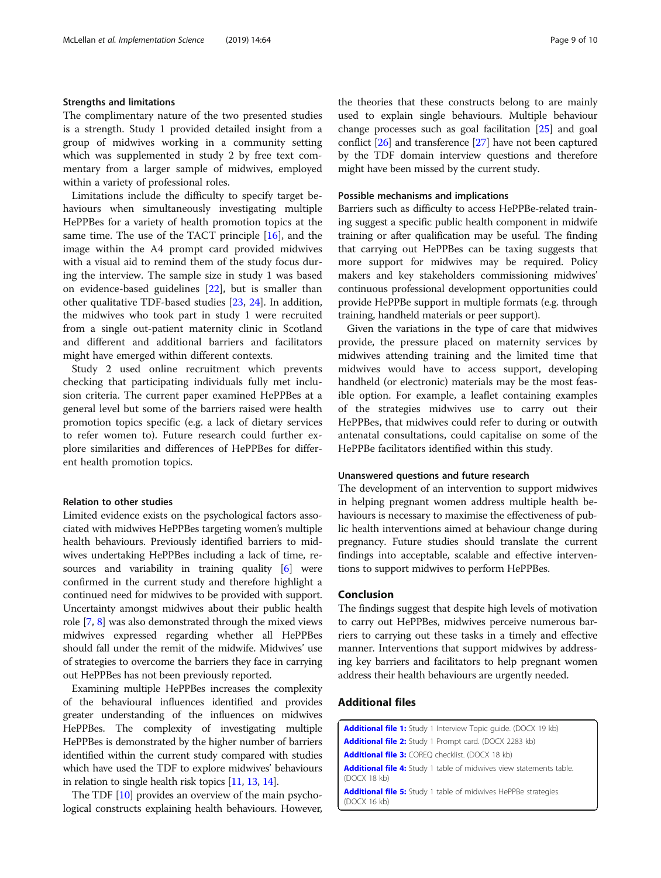# <span id="page-8-0"></span>Strengths and limitations

The complimentary nature of the two presented studies is a strength. Study 1 provided detailed insight from a group of midwives working in a community setting which was supplemented in study 2 by free text commentary from a larger sample of midwives, employed within a variety of professional roles.

Limitations include the difficulty to specify target behaviours when simultaneously investigating multiple HePPBes for a variety of health promotion topics at the same time. The use of the TACT principle [[16](#page-9-0)], and the image within the A4 prompt card provided midwives with a visual aid to remind them of the study focus during the interview. The sample size in study 1 was based on evidence-based guidelines [[22\]](#page-9-0), but is smaller than other qualitative TDF-based studies [\[23](#page-9-0), [24](#page-9-0)]. In addition, the midwives who took part in study 1 were recruited from a single out-patient maternity clinic in Scotland and different and additional barriers and facilitators might have emerged within different contexts.

Study 2 used online recruitment which prevents checking that participating individuals fully met inclusion criteria. The current paper examined HePPBes at a general level but some of the barriers raised were health promotion topics specific (e.g. a lack of dietary services to refer women to). Future research could further explore similarities and differences of HePPBes for different health promotion topics.

# Relation to other studies

Limited evidence exists on the psychological factors associated with midwives HePPBes targeting women's multiple health behaviours. Previously identified barriers to midwives undertaking HePPBes including a lack of time, resources and variability in training quality [[6\]](#page-9-0) were confirmed in the current study and therefore highlight a continued need for midwives to be provided with support. Uncertainty amongst midwives about their public health role [[7,](#page-9-0) [8](#page-9-0)] was also demonstrated through the mixed views midwives expressed regarding whether all HePPBes should fall under the remit of the midwife. Midwives' use of strategies to overcome the barriers they face in carrying out HePPBes has not been previously reported.

Examining multiple HePPBes increases the complexity of the behavioural influences identified and provides greater understanding of the influences on midwives HePPBes. The complexity of investigating multiple HePPBes is demonstrated by the higher number of barriers identified within the current study compared with studies which have used the TDF to explore midwives' behaviours in relation to single health risk topics [\[11,](#page-9-0) [13](#page-9-0), [14](#page-9-0)].

The TDF [\[10\]](#page-9-0) provides an overview of the main psychological constructs explaining health behaviours. However, the theories that these constructs belong to are mainly used to explain single behaviours. Multiple behaviour change processes such as goal facilitation [[25](#page-9-0)] and goal conflict [\[26](#page-9-0)] and transference [[27](#page-9-0)] have not been captured by the TDF domain interview questions and therefore might have been missed by the current study.

# Possible mechanisms and implications

Barriers such as difficulty to access HePPBe-related training suggest a specific public health component in midwife training or after qualification may be useful. The finding that carrying out HePPBes can be taxing suggests that more support for midwives may be required. Policy makers and key stakeholders commissioning midwives' continuous professional development opportunities could provide HePPBe support in multiple formats (e.g. through training, handheld materials or peer support).

Given the variations in the type of care that midwives provide, the pressure placed on maternity services by midwives attending training and the limited time that midwives would have to access support, developing handheld (or electronic) materials may be the most feasible option. For example, a leaflet containing examples of the strategies midwives use to carry out their HePPBes, that midwives could refer to during or outwith antenatal consultations, could capitalise on some of the HePPBe facilitators identified within this study.

### Unanswered questions and future research

The development of an intervention to support midwives in helping pregnant women address multiple health behaviours is necessary to maximise the effectiveness of public health interventions aimed at behaviour change during pregnancy. Future studies should translate the current findings into acceptable, scalable and effective interventions to support midwives to perform HePPBes.

# Conclusion

The findings suggest that despite high levels of motivation to carry out HePPBes, midwives perceive numerous barriers to carrying out these tasks in a timely and effective manner. Interventions that support midwives by addressing key barriers and facilitators to help pregnant women address their health behaviours are urgently needed.

# Additional files

[Additional file 1:](https://doi.org/10.1186/s13012-019-0913-3) Study 1 Interview Topic guide. (DOCX 19 kb) [Additional file 2:](https://doi.org/10.1186/s13012-019-0913-3) Study 1 Prompt card. (DOCX 2283 kb) [Additional file 3:](https://doi.org/10.1186/s13012-019-0913-3) COREQ checklist. (DOCX 18 kb) [Additional file 4:](https://doi.org/10.1186/s13012-019-0913-3) Study 1 table of midwives view statements table. (DOCX 18 kb) [Additional file 5:](https://doi.org/10.1186/s13012-019-0913-3) Study 1 table of midwives HePPBe strategies. (DOCX 16 kb)